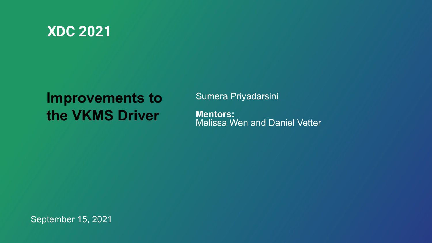

## **Improvements to the VKMS Driver**

Sumera Priyadarsini **Mentors:** Melissa Wen and Daniel Vetter

September 15, 2021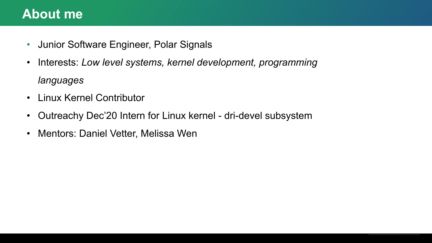#### **About me**

- Junior Software Engineer, Polar Signals
- Interests: *Low level systems, kernel development, programming languages*
- Linux Kernel Contributor
- Outreachy Dec'20 Intern for Linux kernel dri-devel subsystem
- Mentors: Daniel Vetter, Melissa Wen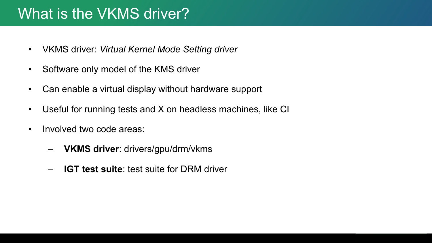# What is the VKMS driver?

- VKMS driver: *Virtual Kernel Mode Setting driver*
- Software only model of the KMS driver
- Can enable a virtual display without hardware support
- Useful for running tests and X on headless machines, like CI
- Involved two code areas:
	- **VKMS driver**: drivers/gpu/drm/vkms
	- **IGT test suite**: test suite for DRM driver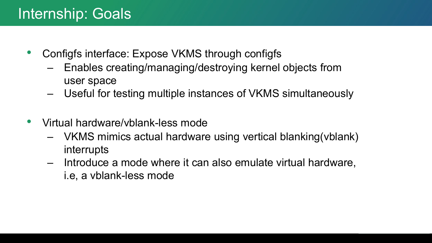# Internship: Goals

- Configfs interface: Expose VKMS through configfs
	- Enables creating/managing/destroying kernel objects from user space
	- Useful for testing multiple instances of VKMS simultaneously
- Virtual hardware/vblank-less mode
	- VKMS mimics actual hardware using vertical blanking(vblank) interrupts
	- Introduce a mode where it can also emulate virtual hardware, i.e, a vblank-less mode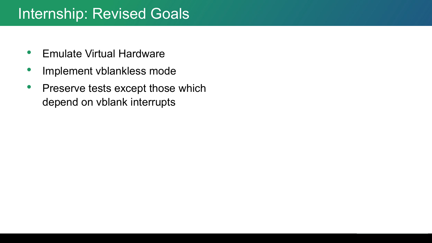## Internship: Revised Goals

- Emulate Virtual Hardware
- Implement vblankless mode
- Preserve tests except those which depend on vblank interrupts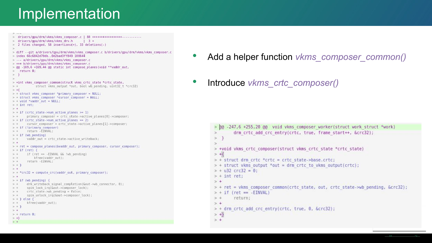```
> drivers/gpu/drm/vkms/vkms_composer.c | 88 ++++++++++++++++++...........
> drivers/gpu/drm/vkms/vkms drv.h
                                     \vert 3 +
> 2 files changed, 58 insertions(+), 33 deletions(-)
> diff --git a/drivers/gpu/drm/vkms/vkms composer.c b/drivers/gpu/drm/vkms/vkms composer.c
> index 66c6842d70db..0d2bad3ff849 100644
> --- a/drivers/gpu/drm/vkms/vkms composer.c
> +++ b/drivers/qpu/drm/vkms/vkms composer.c
> @@ -169,6 +169,44 @@ static int compose planes(void **vaddr out,
> return \theta:
> }
\leq> +int vkms composer common(struct vkms crtc state *crtc state,
> +struct vkms output *out, bool wb pending, uint32 t *crc32)
> +> + struct vkms composer *primary composer = NULL;
> + struct vkms composer *cursor composer = NULL;
> + void *vaddr out = NULL;
> + int ret;> +> + if (crtc state->num active planes >= 1)
> + primary composer = crtc state->active planes[0]->composer;
> + if (crtc state->num active planes == 2)
> + cursor composer = crtc state->active planes [1] ->composer;
> + if (!primary composer)
> +return -EINVAL;
> + if (wb pending)
> +vaddr out = crtc state->active writeback;
> +> + ret = compose planes (&vaddr out, primary composer, cursor composer);
> + if (ret) {
        if (ret == -EINVAL && !wb pending)
> +>4kfree(vaddr out);
       return -EINVAL;
> +> + 1> +> + *crc32 = compute crc(vaddr out, primary composer);
> +> + if (wb pending) {
       drm writeback signal completion(&out->wb connector, 0);
> + -spin lock irg(&out->composer lock);
> +
> +crtc state->wb pending = false;
        spin unlock irg(&out->composer lock);
> +> + } else {
> +
        kfree(vaddr out);
> +}
> +> + return \theta;
> +1> +
```
- Add a helper function *vkms\_composer\_common()*
- Introduce *vkms\_crtc\_composer()*

```
> 00 -247,6 +255,20 00 void vkms composer worker(struct work struct *work)
        drm crtc add crc entry(crtc, true, frame start++, &crc32);
\geq\geq\geq> +void vkms crtc composer(struct vkms crtc state *crtc state)
> +> + struct drm crtc *crtc = crtc state->base.crtc;
> + struct vkms output *out = drm crtc to vkms output(crtc);
> + u32 crc32 = 0:
> + int ret:
> +> + ret = vkms composer common(crtc state, out, crtc state->wb pending, &crc32);
> + if (ret == -EINVAL)
> +return;
\ge +> + drm crtc add crc entry(crtc, true, 0, &crc32);
> +> +
```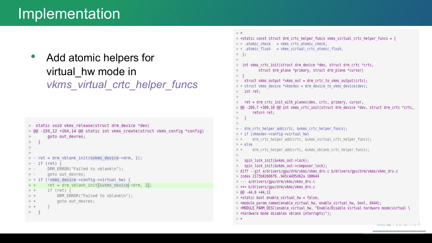• Add atomic helpers for virtual\_hw mode in *vkms\_virtual\_crtc\_helper\_funcs*

```
> static void vkms release(struct drm device *dev)
> @@ -159,12 +164,14 @@ static int vkms create(struct vkms config *config)
        goto out devres;
\geq\,>\rightarrow\leq> - ret = drm vblank init(&vkms device->drm, 1);
> - if (ret) {
        DRM ERROR("Failed to vblank\n");
> -> -goto out devres;
> + if (!vkms device->config->virtual hw) {
        ret = drm vblank init (&vkms device->drm, 1);
> +
> +if (\text{ret})DRM ERROR("Failed to vblank\n");
> +
> +
            goto out devres;
> +
> }
```

```
> +> +static const struct drm crtc helper funcs vkms virtual crtc helper funcs = {
> + .atomic check = vkms crtc atomic check,
> + .atomic flush = vkms virtual crtc atomic flush,
> };
   int vkms crtc init(struct drm device *dev, struct drm crtc *crtc,
           struct drm plane *primary, struct drm plane *cursor)
   struct vkms output *vkms out = drm crtc to vkms output(crtc);
> + struct vkms device *vkmsdev = drm device to vkms device(dev);
    int ret;
    ret = drm crtc init with planes(dev, crtc, primary, cursor,
> @@ -289,7 +309,10 @@ int vkms crtc init(struct drm device *dev, struct drm crtc *crtc,
        return ret;
> - drm crtc helper add(crtc, &vkms crtc helper funcs);
> + if (vkmsdev->config->virtual hw)
        drm crtc helper add(crtc, &vkms virtual crtc helper funcs);
> +> + else
        drm crtc helper add(crtc, &vkms vblank crtc helper funcs);
    spin lock init(&vkms out->lock);
   spin lock init(&vkms out->composer lock);
> diff --git a/drivers/gpu/drm/vkms/vkms drv.c b/drivers/gpu/drm/vkms/vkms drv.c
> index 2173b82606f6..945c4495d62a 100644
> --- a/drivers/gpu/drm/vkms/vkms drv.c
> +++ b/drivers/gpu/drm/vkms/vkms drv.c
> 60 - 44, 6 + 44, 11> +static bool enable virtual hw = false;
> +module param named(enable virtual hw, enable virtual hw, bool, 0444);
> +MODULE PARM DESC(enable virtual hw, "Enable/Disable virtual hardware mode(virtual \
> +hardware mode disables vblank interrupts)");
> +
```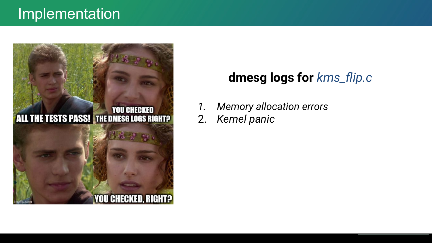

#### **dmesg logs for** *kms\_flip.c*

- *1. Memory allocation errors*
- 2. *Kernel panic*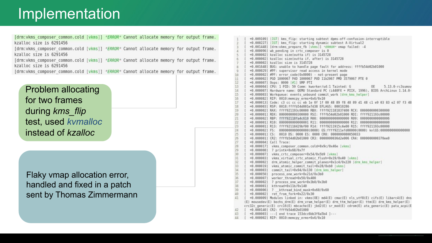[drm:vkms composer common.cold [vkms]] \*ERROR\* Cannot allocate memory for output frame. kzalloc size is 6291456 [drm:vkms composer common.cold [vkms]] \*ERROR\* Cannot allocate memory for output frame. kzalloc size is 6291456 [drm:vkms composer common.cold [vkms]] \*ERROR\* Cannot allocate memory for output frame. kzalloc size is 6291456 [drm:vkms composer common.cold [vkms]] \*ERROR\* Cannot allocate memory for output frame.

Problem allocating for two frames during *kms\_flip* test, used *kvmalloc* instead of *kzalloc*

Flaky vmap allocation error, handled and fixed in a patch sent by Thomas Zimmermann

| 1            |               | +0.009109] [IGT] kms flip: starting subtest dpms-off-confusion-interruptible                |
|--------------|---------------|---------------------------------------------------------------------------------------------|
| $\mathbf{2}$ |               | +0.000227] [IGT] kms flip: starting dynamic subtest A-Virtual2                              |
| 3            |               | +0.001448] [drm:vkms prepare fb [vkms]] *ERROR* vmap failed: -4                             |
| $\Delta$     |               | +0.000096] wb pending in crtc composer is 0                                                 |
| 5            | I             | +0.000002] kzalloc size(outta if) is 3145728                                                |
| 6            | Τ             | +0.000002] kzalloc size(outta if, after) is 3145728                                         |
| 7            |               | +0.000002] kzalloc size is 3145728                                                          |
| 8            |               | +0.001648] BUG: unable to handle page fault for address: ffffb54d02b01000                   |
| 9            | I             | +0.000029] #PF: supervisor read access in kernel mode                                       |
| 10           | I             | +0.000002] #PF: error code(0x0000) - not-present page                                       |
| 11           |               | +0.000002] PGD 1000067 P4D 1000067 PUD 11b2067 PMD 3579067 PTE 0                            |
| 12           |               | +0.000007] Oops: 0000 [#1] SMP PTI                                                          |
| 13           |               | +0.000004] CPU: 1 PID: 59 Comm: kworker/u4:1 Tainted: G<br>0E<br>$5.13.0 - rc3s$ umov       |
| 14           | Τ             | +0.0000071 Hardware name: OEMU Standard PC (i440FX + PIIX, 1996), BIOS ArchLinux 1.14.0-    |
| 15           | I             | +0.000003] Workqueue: events unbound commit work [drm kms helper]                           |
| 16           |               | +0.000082] RIP: 0010:memcpy erms+0x6/0x10                                                   |
| 17           | Τ             | +0.0000131 Code: c3 cc cc ce b le 0f 1f 00 48 89 f8 48 89 d1 48 cl e9 03 83 e2 07 f3 48     |
| 18           | L             | +0.000003] RSP: 0018:ffffb54d001e7d38 EFLAGS: 00010286                                      |
| 19           |               | +0.000002] RAX: ffff921193c00000 RBX: ffff921181837400 RCX: 0000000000300000                |
| 20           | I             | +0.000001] RDX: 0000000000300000 RSI: ffffb54d02b01000 RDI: ffff921193c00000                |
| 21           |               | +0.000002] RBP: ffff92118fa4c610 R08: 0000000000000000 R09: 000000000000006                 |
| 22           | I             |                                                                                             |
| 23.          |               | +0.0000011 R13: ffff92118429bf00 R14: ffff9211915c4e00 R15: ffff921193c00000                |
| 24           |               | +0.000002] FS: 00000000000000000000000 GS:ffff921lefd00000(0000) knlGS:000000000000000      |
| 25           | I             | +0.0000011 CS: 0010 DS: 0000 ES: 0000 CR0: 00000000080050033                                |
| 26           | I             | +0.000001] CR2: ffffb54d02b01000 CR3: 0000000036d2e006 CR4: 0000000000370ee0                |
| 27           |               | +0.000004] Call Trace:                                                                      |
| 28           | I             | +0.000017] vkms composer common.cold+0x9c/0x46e [vkms]                                      |
| 29           | Ŧ             | +0.000008] ? printk+0x68/0x7f                                                               |
| 30           | I             | +0.000007] vkms crtc composer+0x54/0x5b9 [vkms]                                             |
| 31           | I             | +0.000003] vkms virtual crtc atomic flush+0x19/0x40 [vkms]                                  |
| 32           |               | +0.000002] drm atomic helper commit planes+0xlc4/0x220 [drm kms helper]                     |
| 33           | I             | +0.000019] vkms atomic commit tail+0x28/0xb0 [vkms]                                         |
| 34           | $\mathbf{I}$  | +0.000003] commit tail+0x94/0x130 [drm kms helper]                                          |
| 35           | $+0.000050$ ] | process one work+0x21d/0x3b0                                                                |
| 36           | I             | +0.000007] worker thread+0x50/0x400                                                         |
| 37           | T             | +0.000002] ? process one work+0x3b0/0x3b0                                                   |
| 38           | T             | +0.000001] kthread+0x11b/0x140                                                              |
| 39           | $\mathbb{I}$  | +0.000006] ? kthread bind mask+0x60/0x60                                                    |
| 48           |               | +0.000002] ret from fork+0x22/0x30                                                          |
| 41           | L             | +0.000009] Modules linked in: vkms(OE) md4(E) cmac(E) nls utf8(E) cifs(E) libarc4(E) dns    |
|              |               | (E) mousedev(E) bochs drm(E) drm vram helper(E) drm ttm helper(E) ttm(E) drm kms helper(E)  |
|              |               | crc32c generic(E) crc16(E) mbcache(E) jbd2(E) sr mod(E) cdrom(E) ata generic(E) pata acpi(E |
| 42           |               | +0.000140] CR2: ffffb54d02b01000                                                            |
| 43           | Ł             | +0.000003] ---[ end trace 153dcc6bb3f6a5b4 ]---                                             |
| 44           |               | +0.000002] RIP: 0010:memcpy erms+0x6/0x10                                                   |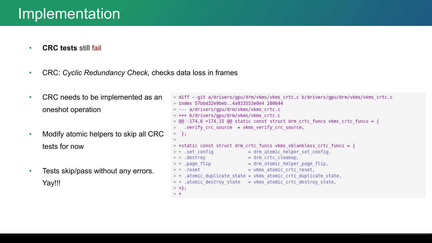- **CRC tests** still fail
- CRC: *Cyclic Redundancy Check,* checks data loss in frames
- CRC needs to be implemented as an oneshot operation
- Modify atomic helpers to skip all CRC tests for now
- Tests skip/pass without any errors. Yay!!!

```
> diff --ait a/drivers/apu/drm/vkms/vkms crtc.c b/drivers/apu/drm/vkms/vkms crtc.c
> index 57bbd32e9beb..4a933553e0e4 100644
> --- a/drivers/gou/drm/vkms/vkms crtc.c
> +++ b/drivers/gpu/drm/vkms/vkms crtc.c
> @@ -174,6 +174,15 @@ static const struct drm crtc funcs vkms crtc funcs = {
   .verify crc source = vkms verify crc source,
\geq> };
\sim> +static const struct drm crtc funcs vkms vblankless crtc funcs = {
> + .set config
                           = drm atomic helper set config,
> + .destroy
                      = drm crtc cleanup,
> + .page flip
                      = drm atomic helper page flip,
                           = vkms atomic crtc reset,
> + . reset
> + .atomic duplicate state = vkms atomic crtc duplicate state,
> + .atomic destroy state = vkms atomic crtc destroy state,
> +\};
> +
```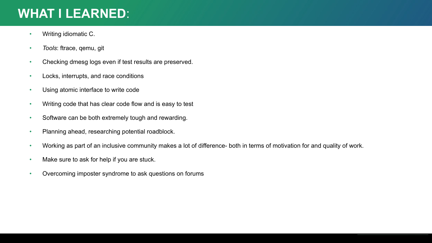#### **WHAT I LEARNED**:

- Writing idiomatic C.
- *Tools*: ftrace, qemu, git
- Checking dmesg logs even if test results are preserved.
- Locks, interrupts, and race conditions
- Using atomic interface to write code
- Writing code that has clear code flow and is easy to test
- Software can be both extremely tough and rewarding.
- Planning ahead, researching potential roadblock.
- Working as part of an inclusive community makes a lot of difference- both in terms of motivation for and quality of work.
- Make sure to ask for help if you are stuck.
- Overcoming imposter syndrome to ask questions on forums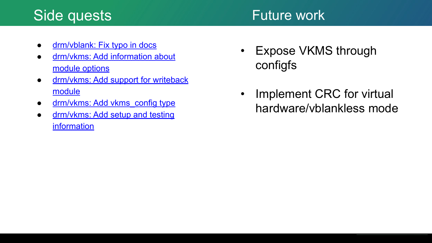## Side quests

#### Future work

- [drm/vblank: Fix typo in docs](https://patchwork.freedesktop.org/patch/414211/)
- [drm/vkms: Add information about](https://patchwork.freedesktop.org/patch/413452/) [module options](https://patchwork.freedesktop.org/patch/413452/)
- [drm/vkms: Add support for writeback](https://patchwork.freedesktop.org/patch/413125/) [module](https://patchwork.freedesktop.org/patch/413125/)
- drm/vkms: Add vkms config type
- [drm/vkms: Add setup and testing](https://patchwork.freedesktop.org/patch/406523/) [information](https://patchwork.freedesktop.org/patch/406523/)
- Expose VKMS through configfs
- Implement CRC for virtual hardware/vblankless mode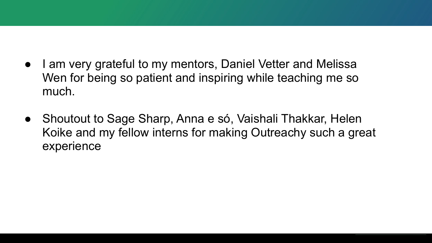- I am very grateful to my mentors, Daniel Vetter and Melissa Wen for being so patient and inspiring while teaching me so much.
- Shoutout to Sage Sharp, Anna e só, Vaishali Thakkar, Helen Koike and my fellow interns for making Outreachy such a great experience